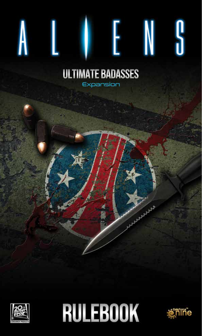### **ULTIMATE BADASSES** Expansion

A L

**ENS** 

**COM** 



**RULEBOOK** 

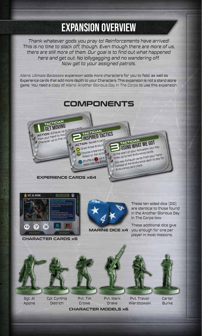# EXPANSION OVERVIEW

*Thank whatever gods you pray to! Reinforcements have arrived! This is no time to slack off, though. Even though there are more of us, there are still more of them. Our goal is to find out what happened here and get out. No lollygagging and no wandering off. Now get to your assigned patrols.* 

*Aliens: Ultimate Badasses* expansion adds more characters for you to field, as well as Experience cards that add more depth to your Characters. This expansion is not a stand alone game. You need a copy of *Aliens: Another Glorious Day In The Corps* to use this expansion.

### **COMPONENTS**

**TACTICIAN** Inspired tactics

**ACTION:** Reveal a car Draw three Endur Choose a Marine t Attack or Aim Action Shuffle a  $\bigodot$  card  $\overline{\mathfrak{c}}$ back into the Exha



**TACTICIAN**<br>USING WHAT WE GOT At the start of your Activation you may draw up to two Endurance cards. You may Exhaust cards from your hand You may extragate car bain your mand.<br>Instead of the Endurance deck to pay for Endurance card costs.

**EXPERIENCE CARDS x64**



**CHARACTER CARDS x6**



**MARINE DICE x4**

These ten sided dice (D10) are identical to those found in the Another Glorious Day In The Corps box.

These additional dice give you enough for one per player in most missions.



Sgt. Al Apone

Cpl. Cynthia Dietrich

**CHARACTER MODELS x6** Pvt. Tim Crowe

Pvt. Trevor Wierzbowski Pvt. Mark Drake

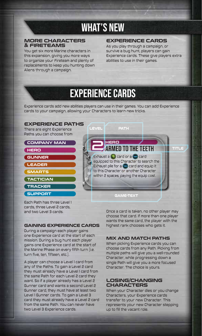## WHAT'S NEW

## **MORE CHARACTERS**

You get six more Marine characters in this expansion, giving you more ways to organize your Fireteam and plenty of replacements to keep you hunting down Aliens through a campaign.

#### **EXPERIENCE CARDS**

**& FIRETEAMS** As you play through a campaign, or survive a bug hunt, players can gain Experience cards. These give players extra abilities to use in their games.

## EXPERIENCE CARDS

Experience cards add new abilities players can use in their games. You can add Experience cards to your campaign, allowing your Characters to learn new tricks.



cards, three Level 2 cards, and two Level 3 cards.

#### **GAINING EXPERIENCE CARDS**

During a campaign each player gains one Experience card at the start of each mission. During a bug hunt each player gains one Experience card at the start of the Marine Phase on every fifth turn (i.e. turn five, ten, fifteen, etc.).

A player can choose a Level 1 card from any of the Paths. To gain a Level 2 card they must already have a Level 1 card from the same Path for each Level 2 card they want. So if a player already has a Level 2 Gunner card and wants a second Level 2 Gunner card, they must have at least two Level 1 Gunner cards. To gain a Level 3 card they must already have a Level 2 card from the same Path. You can never have two Level 3 Experience cards.

Once a card is taken, no other player may choose that card. If more than one player wants the same card, the player with the highest rank chooses who gets it.

#### **MIX AND MATCH PATHS**

When picking Experience cards you can choose cards from any Path. Picking from multiple paths will give you a well-rounded Character, while progressing down a single Path will give you a more focused Character. The choice is yours.

#### **LOSING/CHANGING CHARACTERS**

When your Character dies or you change Characters, your Experience cards transfer to your new Character. This represents your new Character stepping up to fill the vacant role.